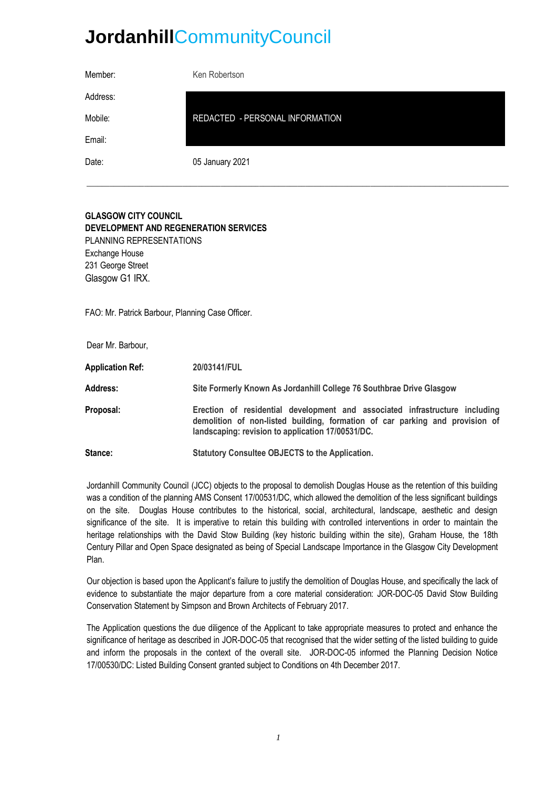# **Jordanhill**CommunityCouncil

| Member:  | Ken Robertson                   |
|----------|---------------------------------|
| Address: |                                 |
| Mobile:  | REDACTED - PERSONAL INFORMATION |
| Email:   |                                 |
| Date:    | 05 January 2021                 |
|          |                                 |

# **GLASGOW CITY COUNCIL DEVELOPMENT AND REGENERATION SERVICES** PLANNING REPRESENTATIONS Exchange House 231 George Street Glasgow G1 IRX.

FAO: Mr. Patrick Barbour, Planning Case Officer.

Dear Mr. Barbour,

**Application Ref: 20/03141/FUL Address: Site Formerly Known As Jordanhill College 76 Southbrae Drive Glasgow Proposal: Erection of residential development and associated infrastructure including demolition of non-listed building, formation of car parking and provision of landscaping: revision to application 17/00531/DC. Stance: Statutory Consultee OBJECTS to the Application.**

Jordanhill Community Council (JCC) objects to the proposal to demolish Douglas House as the retention of this building was a condition of the planning AMS Consent 17/00531/DC, which allowed the demolition of the less significant buildings on the site. Douglas House contributes to the historical, social, architectural, landscape, aesthetic and design significance of the site. It is imperative to retain this building with controlled interventions in order to maintain the heritage relationships with the David Stow Building (key historic building within the site), Graham House, the 18th Century Pillar and Open Space designated as being of Special Landscape Importance in the Glasgow City Development Plan.

Our objection is based upon the Applicant's failure to justify the demolition of Douglas House, and specifically the lack of evidence to substantiate the major departure from a core material consideration: JOR-DOC-05 David Stow Building Conservation Statement by Simpson and Brown Architects of February 2017.

The Application questions the due diligence of the Applicant to take appropriate measures to protect and enhance the significance of heritage as described in JOR-DOC-05 that recognised that the wider setting of the listed building to guide and inform the proposals in the context of the overall site. JOR-DOC-05 informed the Planning Decision Notice 17/00530/DC: Listed Building Consent granted subject to Conditions on 4th December 2017.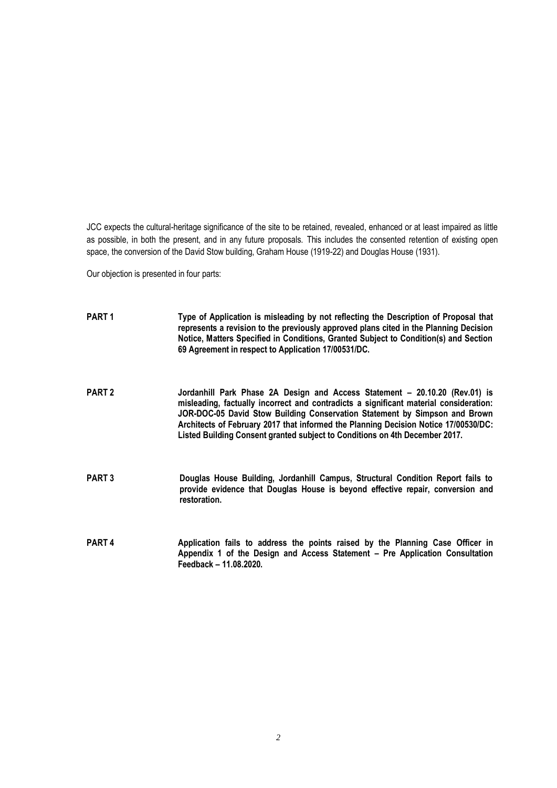JCC expects the cultural-heritage significance of the site to be retained, revealed, enhanced or at least impaired as little as possible, in both the present, and in any future proposals. This includes the consented retention of existing open space, the conversion of the David Stow building, Graham House (1919-22) and Douglas House (1931).

Our objection is presented in four parts:

| PART <sub>1</sub> | Type of Application is misleading by not reflecting the Description of Proposal that<br>represents a revision to the previously approved plans cited in the Planning Decision<br>Notice, Matters Specified in Conditions, Granted Subject to Condition(s) and Section<br>69 Agreement in respect to Application 17/00531/DC.                                                                                             |
|-------------------|--------------------------------------------------------------------------------------------------------------------------------------------------------------------------------------------------------------------------------------------------------------------------------------------------------------------------------------------------------------------------------------------------------------------------|
| <b>PART 2</b>     | Jordanhill Park Phase 2A Design and Access Statement - 20.10.20 (Rev.01) is<br>misleading, factually incorrect and contradicts a significant material consideration:<br>JOR-DOC-05 David Stow Building Conservation Statement by Simpson and Brown<br>Architects of February 2017 that informed the Planning Decision Notice 17/00530/DC:<br>Listed Building Consent granted subject to Conditions on 4th December 2017. |
| <b>PART 3</b>     | Douglas House Building, Jordanhill Campus, Structural Condition Report fails to<br>provide evidence that Douglas House is beyond effective repair, conversion and<br>restoration.                                                                                                                                                                                                                                        |
| PART <sub>4</sub> | Application fails to address the points raised by the Planning Case Officer in<br>Appendix 1 of the Design and Access Statement – Pre Application Consultation<br>Feedback - 11.08.2020.                                                                                                                                                                                                                                 |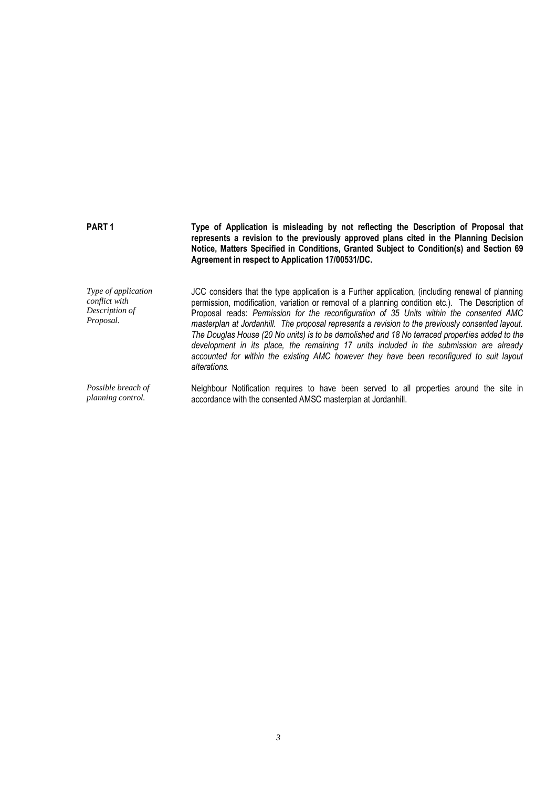| PART <sub>1</sub>                                                          | Type of Application is misleading by not reflecting the Description of Proposal that<br>represents a revision to the previously approved plans cited in the Planning Decision<br>Notice, Matters Specified in Conditions, Granted Subject to Condition(s) and Section 69<br>Agreement in respect to Application 17/00531/DC.                                                                                                                                                                                                                                                                                                                                                                                 |
|----------------------------------------------------------------------------|--------------------------------------------------------------------------------------------------------------------------------------------------------------------------------------------------------------------------------------------------------------------------------------------------------------------------------------------------------------------------------------------------------------------------------------------------------------------------------------------------------------------------------------------------------------------------------------------------------------------------------------------------------------------------------------------------------------|
| <i>Type of application</i><br>conflict with<br>Description of<br>Proposal. | JCC considers that the type application is a Further application, (including renewal of planning<br>permission, modification, variation or removal of a planning condition etc.). The Description of<br>Proposal reads: Permission for the reconfiguration of 35 Units within the consented AMC<br>masterplan at Jordanhill. The proposal represents a revision to the previously consented layout.<br>The Douglas House (20 No units) is to be demolished and 18 No terraced properties added to the<br>development in its place, the remaining 17 units included in the submission are already<br>accounted for within the existing AMC however they have been reconfigured to suit layout<br>alterations. |
| Possible breach of<br>planning control.                                    | Neighbour Notification requires to have been served to all properties around the site in<br>accordance with the consented AMSC masterplan at Jordanhill.                                                                                                                                                                                                                                                                                                                                                                                                                                                                                                                                                     |

*3*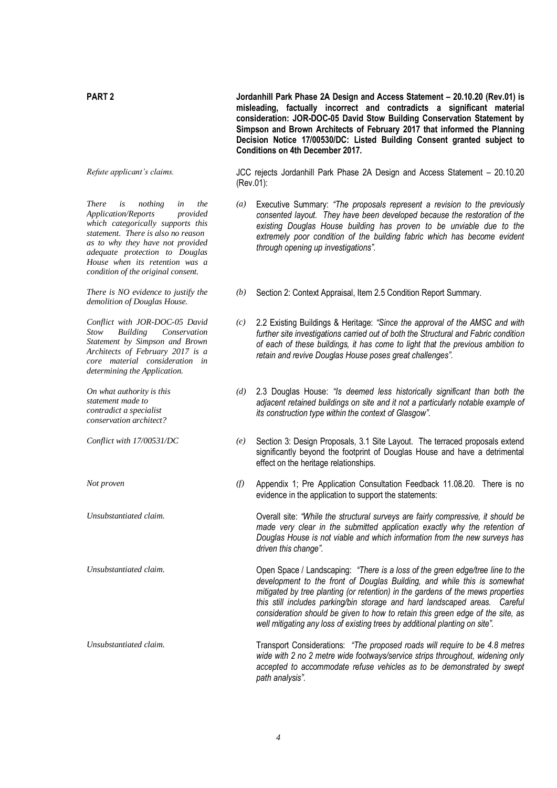*There is nothing in the*   $Application/Repository$ *which categorically supports this statement. There is also no reason as to why they have not provided adequate protection to Douglas House when its retention was a condition of the original consent.*

*There is NO evidence to justify the demolition of Douglas House.*

*Conflict with JOR-DOC-05 David Stow Building Conservation Statement by Simpson and Brown Architects of February 2017 is a core material consideration in determining the Application.*

*On what authority is this statement made to contradict a specialist conservation architect?*

**PART 2 Jordanhill Park Phase 2A Design and Access Statement – 20.10.20 (Rev.01) is misleading, factually incorrect and contradicts a significant material consideration: JOR-DOC-05 David Stow Building Conservation Statement by Simpson and Brown Architects of February 2017 that informed the Planning Decision Notice 17/00530/DC: Listed Building Consent granted subject to Conditions on 4th December 2017.**

*Refute applicant's claims.* JCC rejects Jordanhill Park Phase 2A Design and Access Statement – 20.10.20 (Rev.01):

- *(a)* Executive Summary: *"The proposals represent a revision to the previously consented layout. They have been developed because the restoration of the existing Douglas House building has proven to be unviable due to the*  extremely poor condition of the building fabric which has become evident *through opening up investigations".*
- *(b)* Section 2: Context Appraisal, Item 2.5 Condition Report Summary.
- *(c)* 2.2 Existing Buildings & Heritage: *"Since the approval of the AMSC and with further site investigations carried out of both the Structural and Fabric condition of each of these buildings, it has come to light that the previous ambition to retain and revive Douglas House poses great challenges".*
- *(d)* 2.3 Douglas House: *"Is deemed less historically significant than both the adjacent retained buildings on site and it not a particularly notable example of its construction type within the context of Glasgow".*
- *Conflict with 17/00531/DC (e)* Section 3: Design Proposals, 3.1 Site Layout. The terraced proposals extend significantly beyond the footprint of Douglas House and have a detrimental effect on the heritage relationships.
- *Not proven (f)* Appendix 1; Pre Application Consultation Feedback 11.08.20. There is no evidence in the application to support the statements:

*Unsubstantiated claim.* Overall site: *"While the structural surveys are fairly compressive, it should be made very clear in the submitted application exactly why the retention of Douglas House is not viable and which information from the new surveys has driven this change".*

*Unsubstantiated claim.* Open Space / Landscaping: *"There is a loss of the green edge/tree line to the development to the front of Douglas Building, and while this is somewhat mitigated by tree planting (or retention) in the gardens of the mews properties this still includes parking/bin storage and hard landscaped areas. Careful consideration should be given to how to retain this green edge of the site, as well mitigating any loss of existing trees by additional planting on site".*

*Unsubstantiated claim.* Transport Considerations: *"The proposed roads will require to be 4.8 metres wide with 2 no 2 metre wide footways/service strips throughout, widening only accepted to accommodate refuse vehicles as to be demonstrated by swept path analysis".*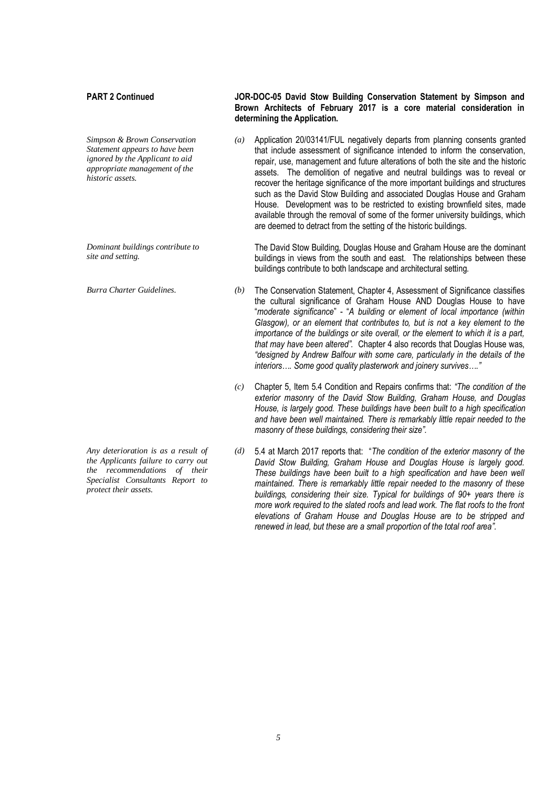*Simpson & Brown Conservation Statement appears to have been ignored by the Applicant to aid appropriate management of the historic assets.*

*Dominant buildings contribute to site and setting.*

*Any deterioration is as a result of the Applicants failure to carry out the recommendations of their Specialist Consultants Report to protect their assets.*

### **PART 2 Continued JOR-DOC-05 David Stow Building Conservation Statement by Simpson and Brown Architects of February 2017 is a core material consideration in determining the Application.**

*(a)* Application 20/03141/FUL negatively departs from planning consents granted that include assessment of significance intended to inform the conservation, repair, use, management and future alterations of both the site and the historic assets. The demolition of negative and neutral buildings was to reveal or recover the heritage significance of the more important buildings and structures such as the David Stow Building and associated Douglas House and Graham House. Development was to be restricted to existing brownfield sites, made available through the removal of some of the former university buildings, which are deemed to detract from the setting of the historic buildings.

The David Stow Building, Douglas House and Graham House are the dominant buildings in views from the south and east. The relationships between these buildings contribute to both landscape and architectural setting.

- *Burra Charter Guidelines. (b)* The Conservation Statement, Chapter 4, Assessment of Significance classifies the cultural significance of Graham House AND Douglas House to have "*moderate significance*" - "*A building or element of local importance (within Glasgow), or an element that contributes to, but is not a key element to the importance of the buildings or site overall, or the element to which it is a part, that may have been altered".* Chapter 4 also records that Douglas House was, *"designed by Andrew Balfour with some care, particularly in the details of the interiors…. Some good quality plasterwork and joinery survives…."*
	- *(c)* Chapter 5, Item 5.4 Condition and Repairs confirms that: *"The condition of the exterior masonry of the David Stow Building, Graham House, and Douglas House, is largely good. These buildings have been built to a high specification and have been well maintained. There is remarkably little repair needed to the masonry of these buildings, considering their size".*
	- *(d)* 5.4 at March 2017 reports that: "*The condition of the exterior masonry of the David Stow Building, Graham House and Douglas House is largely good. These buildings have been built to a high specification and have been well maintained. There is remarkably little repair needed to the masonry of these buildings, considering their size. Typical for buildings of 90+ years there is more work required to the slated roofs and lead work. The flat roofs to the front elevations of Graham House and Douglas House are to be stripped and renewed in lead, but these are a small proportion of the total roof area".*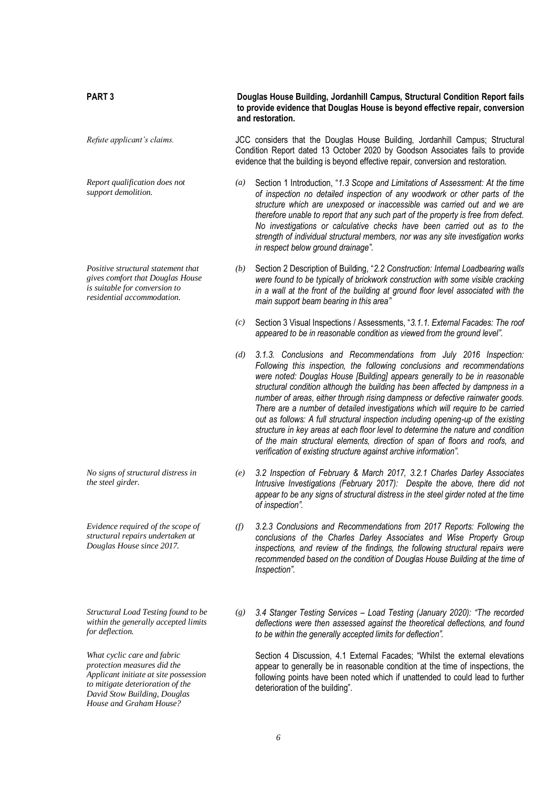| <b>PART3</b>                                                                                                                          |                  | Douglas House Building, Jordanhill Campus, Structural Condition Report fails<br>to provide evidence that Douglas House is beyond effective repair, conversion<br>and restoration.                                                                                                                                                                                                                                                                                                                                                                                                                                                                                                                                                                                                                           |  |  |  |
|---------------------------------------------------------------------------------------------------------------------------------------|------------------|-------------------------------------------------------------------------------------------------------------------------------------------------------------------------------------------------------------------------------------------------------------------------------------------------------------------------------------------------------------------------------------------------------------------------------------------------------------------------------------------------------------------------------------------------------------------------------------------------------------------------------------------------------------------------------------------------------------------------------------------------------------------------------------------------------------|--|--|--|
| Refute applicant's claims.                                                                                                            |                  | JCC considers that the Douglas House Building, Jordanhill Campus; Structural<br>Condition Report dated 13 October 2020 by Goodson Associates fails to provide<br>evidence that the building is beyond effective repair, conversion and restoration.                                                                                                                                                                                                                                                                                                                                                                                                                                                                                                                                                         |  |  |  |
| Report qualification does not<br>support demolition.                                                                                  | $\left(a\right)$ | Section 1 Introduction, "1.3 Scope and Limitations of Assessment: At the time<br>of inspection no detailed inspection of any woodwork or other parts of the<br>structure which are unexposed or inaccessible was carried out and we are<br>therefore unable to report that any such part of the property is free from defect.<br>No investigations or calculative checks have been carried out as to the<br>strength of individual structural members, nor was any site investigation works<br>in respect below ground drainage".                                                                                                                                                                                                                                                                           |  |  |  |
| Positive structural statement that<br>gives comfort that Douglas House<br>is suitable for conversion to<br>residential accommodation. | (b)              | Section 2 Description of Building, "2.2 Construction: Internal Loadbearing walls<br>were found to be typically of brickwork construction with some visible cracking<br>in a wall at the front of the building at ground floor level associated with the<br>main support beam bearing in this area"                                                                                                                                                                                                                                                                                                                                                                                                                                                                                                          |  |  |  |
|                                                                                                                                       | (c)              | Section 3 Visual Inspections / Assessments, "3.1.1. External Facades: The roof<br>appeared to be in reasonable condition as viewed from the ground level".                                                                                                                                                                                                                                                                                                                                                                                                                                                                                                                                                                                                                                                  |  |  |  |
|                                                                                                                                       | (d)              | 3.1.3. Conclusions and Recommendations from July 2016 Inspection:<br>Following this inspection, the following conclusions and recommendations<br>were noted: Douglas House [Building] appears generally to be in reasonable<br>structural condition although the building has been affected by dampness in a<br>number of areas, either through rising dampness or defective rainwater goods.<br>There are a number of detailed investigations which will require to be carried<br>out as follows: A full structural inspection including opening-up of the existing<br>structure in key areas at each floor level to determine the nature and condition<br>of the main structural elements, direction of span of floors and roofs, and<br>verification of existing structure against archive information". |  |  |  |
| No signs of structural distress in<br>the steel girder.                                                                               | (e)              | 3.2 Inspection of February & March 2017, 3.2.1 Charles Darley Associates<br>Intrusive Investigations (February 2017): Despite the above, there did not<br>appear to be any signs of structural distress in the steel girder noted at the time<br>of inspection".                                                                                                                                                                                                                                                                                                                                                                                                                                                                                                                                            |  |  |  |
| Evidence required of the scope of<br>structural repairs undertaken at<br>Douglas House since 2017.                                    | (f)              | 3.2.3 Conclusions and Recommendations from 2017 Reports: Following the<br>conclusions of the Charles Darley Associates and Wise Property Group<br>inspections, and review of the findings, the following structural repairs were<br>recommended based on the condition of Douglas House Building at the time of<br>Inspection".                                                                                                                                                                                                                                                                                                                                                                                                                                                                             |  |  |  |
| Structural Load Testing found to be<br>within the generally accepted limits<br>for deflection.                                        | (g)              | 3.4 Stanger Testing Services - Load Testing (January 2020): "The recorded<br>deflections were then assessed against the theoretical deflections, and found<br>to be within the generally accepted limits for deflection".                                                                                                                                                                                                                                                                                                                                                                                                                                                                                                                                                                                   |  |  |  |

Section 4 Discussion, 4.1 External Facades; "Whilst the external elevations appear to generally be in reasonable condition at the time of inspections, the following points have been noted which if unattended to could lead to further deterioration of the building".

*6*

*What cyclic care and fabric protection measures did the Applicant initiate at site possession to mitigate deterioration of the David Stow Building, Douglas House and Graham House?*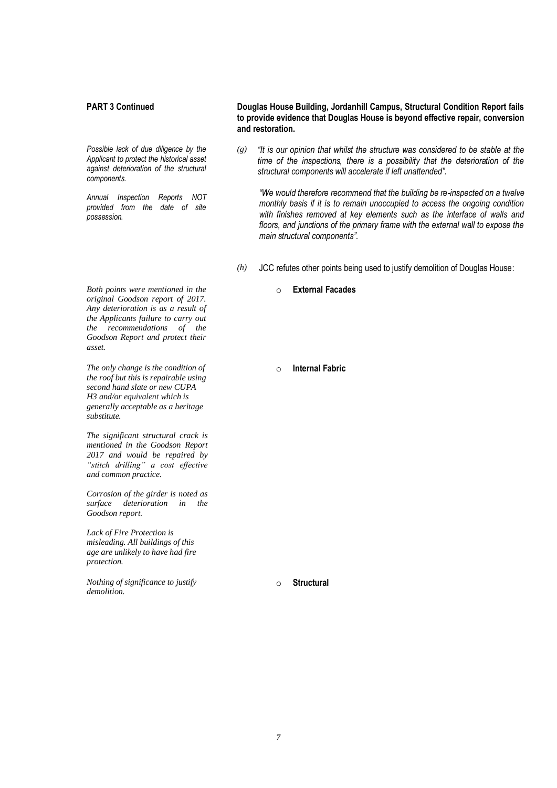### **PART 3 Continued Douglas House Building, Jordanhill Campus, Structural Condition Report fails**

*Possible lack of due diligence by the Applicant to protect the historical asset against deterioration of the structural components.*

*provided from the date of site possession.*

*Annual Inspection Reports NOT* 

**to provide evidence that Douglas House is beyond effective repair, conversion and restoration.**

*(g) "It is our opinion that whilst the structure was considered to be stable at the*  time of the inspections, there is a possibility that the deterioration of the *structural components will accelerate if left unattended".*

*"We would therefore recommend that the building be re-inspected on a twelve monthly basis if it is to remain unoccupied to access the ongoing condition with finishes removed at key elements such as the interface of walls and floors, and junctions of the primary frame with the external wall to expose the main structural components".*

- *(h)* JCC refutes other points being used to justify demolition of Douglas House:
	- o **External Facades**

*Both points were mentioned in the original Goodson report of 2017. Any deterioration is as a result of the Applicants failure to carry out the recommendations of the Goodson Report and protect their asset.*

*The only change is the condition of the roof but this is repairable using second hand slate or new CUPA H3 and/or equivalent which is generally acceptable as a heritage substitute.*

*The significant structural crack is mentioned in the Goodson Report 2017 and would be repaired by "stitch drilling" a cost effective and common practice.*

*Corrosion of the girder is noted as surface deterioration in the Goodson report.*

*Lack of Fire Protection is misleading. All buildings of this age are unlikely to have had fire protection.* 

*Nothing of significance to justify demolition.*

o **Internal Fabric**

o **Structural**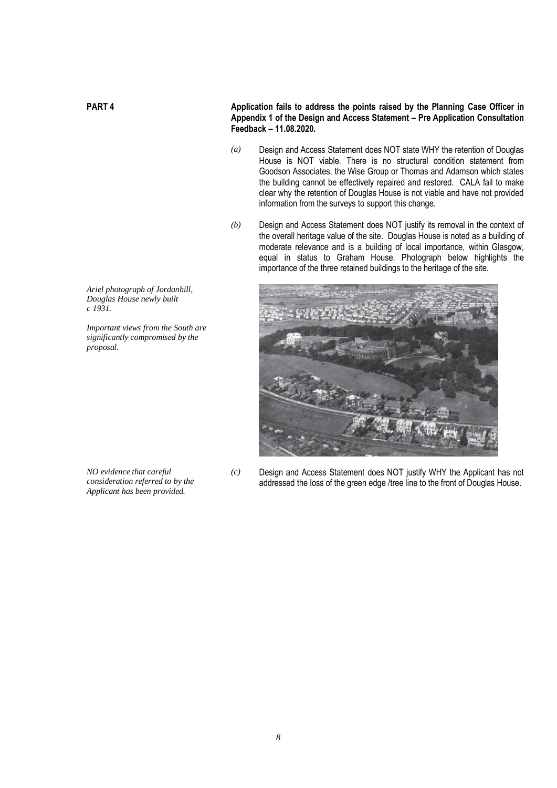**PART 4 Application fails to address the points raised by the Planning Case Officer in Appendix 1 of the Design and Access Statement – Pre Application Consultation Feedback – 11.08.2020.**

- *(a)* Design and Access Statement does NOT state WHY the retention of Douglas House is NOT viable. There is no structural condition statement from Goodson Associates, the Wise Group or Thomas and Adamson which states the building cannot be effectively repaired and restored. CALA fail to make clear why the retention of Douglas House is not viable and have not provided information from the surveys to support this change.
- *(b)* Design and Access Statement does NOT justify its removal in the context of the overall heritage value of the site. Douglas House is noted as a building of moderate relevance and is a building of local importance, within Glasgow, equal in status to Graham House. Photograph below highlights the importance of the three retained buildings to the heritage of the site.



*Ariel photograph of Jordanhill, Douglas House newly built c 1931.*

*Important views from the South are significantly compromised by the proposal.*

*NO evidence that careful consideration referred to by the Applicant has been provided.* 

*(c)* Design and Access Statement does NOT justify WHY the Applicant has not addressed the loss of the green edge /tree line to the front of Douglas House.